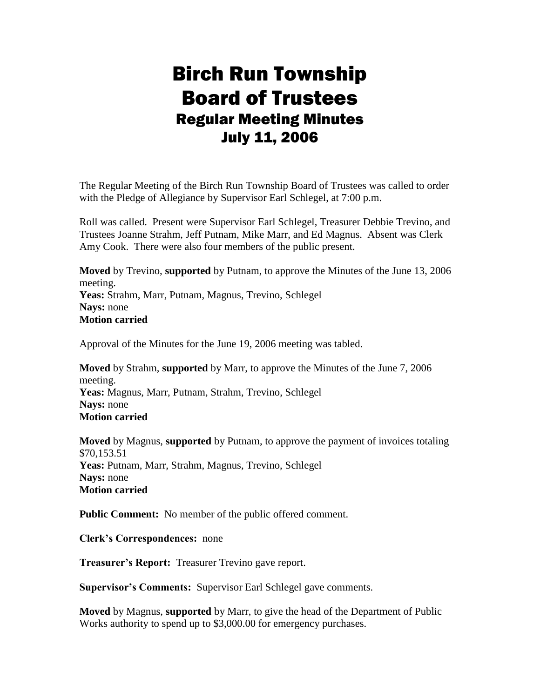# Birch Run Township Board of Trustees Regular Meeting Minutes July 11, 2006

The Regular Meeting of the Birch Run Township Board of Trustees was called to order with the Pledge of Allegiance by Supervisor Earl Schlegel, at 7:00 p.m.

Roll was called. Present were Supervisor Earl Schlegel, Treasurer Debbie Trevino, and Trustees Joanne Strahm, Jeff Putnam, Mike Marr, and Ed Magnus. Absent was Clerk Amy Cook. There were also four members of the public present.

**Moved** by Trevino, **supported** by Putnam, to approve the Minutes of the June 13, 2006 meeting. **Yeas:** Strahm, Marr, Putnam, Magnus, Trevino, Schlegel **Nays:** none **Motion carried**

Approval of the Minutes for the June 19, 2006 meeting was tabled.

**Moved** by Strahm, **supported** by Marr, to approve the Minutes of the June 7, 2006 meeting. **Yeas:** Magnus, Marr, Putnam, Strahm, Trevino, Schlegel **Nays:** none **Motion carried**

**Moved** by Magnus, **supported** by Putnam, to approve the payment of invoices totaling \$70,153.51 **Yeas:** Putnam, Marr, Strahm, Magnus, Trevino, Schlegel **Nays:** none **Motion carried**

**Public Comment:** No member of the public offered comment.

**Clerk's Correspondences:** none

**Treasurer's Report:** Treasurer Trevino gave report.

**Supervisor's Comments:** Supervisor Earl Schlegel gave comments.

**Moved** by Magnus, **supported** by Marr, to give the head of the Department of Public Works authority to spend up to \$3,000.00 for emergency purchases.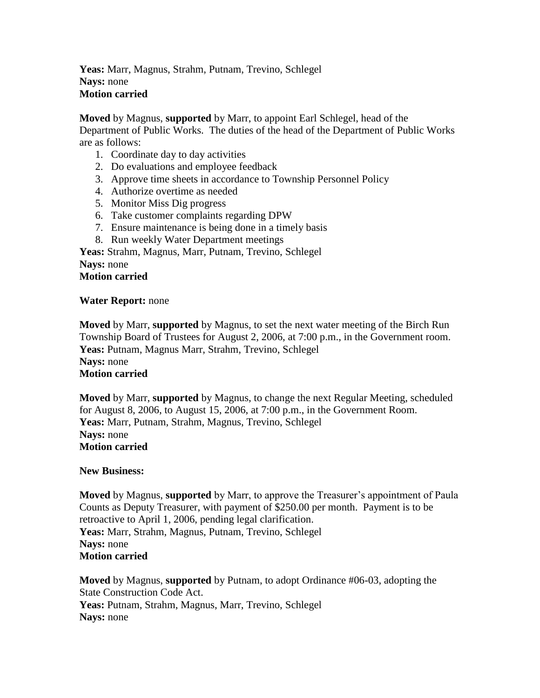**Yeas:** Marr, Magnus, Strahm, Putnam, Trevino, Schlegel **Nays:** none **Motion carried**

**Moved** by Magnus, **supported** by Marr, to appoint Earl Schlegel, head of the Department of Public Works. The duties of the head of the Department of Public Works are as follows:

- 1. Coordinate day to day activities
- 2. Do evaluations and employee feedback
- 3. Approve time sheets in accordance to Township Personnel Policy
- 4. Authorize overtime as needed
- 5. Monitor Miss Dig progress
- 6. Take customer complaints regarding DPW
- 7. Ensure maintenance is being done in a timely basis
- 8. Run weekly Water Department meetings

**Yeas:** Strahm, Magnus, Marr, Putnam, Trevino, Schlegel **Nays:** none **Motion carried**

#### **Water Report:** none

**Moved** by Marr, **supported** by Magnus, to set the next water meeting of the Birch Run Township Board of Trustees for August 2, 2006, at 7:00 p.m., in the Government room. Yeas: Putnam, Magnus Marr, Strahm, Trevino, Schlegel **Nays:** none **Motion carried**

**Moved** by Marr, **supported** by Magnus, to change the next Regular Meeting, scheduled for August 8, 2006, to August 15, 2006, at 7:00 p.m., in the Government Room. **Yeas:** Marr, Putnam, Strahm, Magnus, Trevino, Schlegel **Nays:** none **Motion carried**

#### **New Business:**

**Moved** by Magnus, **supported** by Marr, to approve the Treasurer's appointment of Paula Counts as Deputy Treasurer, with payment of \$250.00 per month. Payment is to be retroactive to April 1, 2006, pending legal clarification. **Yeas:** Marr, Strahm, Magnus, Putnam, Trevino, Schlegel **Nays:** none **Motion carried**

**Moved** by Magnus, **supported** by Putnam, to adopt Ordinance #06-03, adopting the State Construction Code Act. **Yeas:** Putnam, Strahm, Magnus, Marr, Trevino, Schlegel **Nays:** none